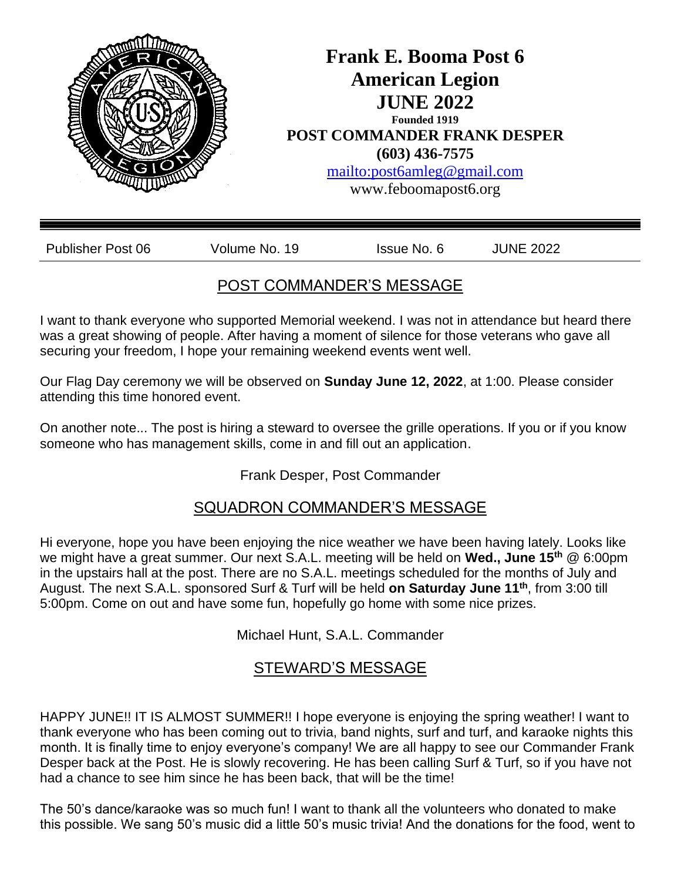

# POST COMMANDER'S MESSAGE

I want to thank everyone who supported Memorial weekend. I was not in attendance but heard there was a great showing of people. After having a moment of silence for those veterans who gave all securing your freedom, I hope your remaining weekend events went well.

Our Flag Day ceremony we will be observed on **Sunday June 12, 2022**, at 1:00. Please consider attending this time honored event.

On another note... The post is hiring a steward to oversee the grille operations. If you or if you know someone who has management skills, come in and fill out an application.

Frank Desper, Post Commander

# SQUADRON COMMANDER'S MESSAGE

Hi everyone, hope you have been enjoying the nice weather we have been having lately. Looks like we might have a great summer. Our next S.A.L. meeting will be held on **Wed., June 15th** @ 6:00pm in the upstairs hall at the post. There are no S.A.L. meetings scheduled for the months of July and August. The next S.A.L. sponsored Surf & Turf will be held **on Saturday June 11th**, from 3:00 till 5:00pm. Come on out and have some fun, hopefully go home with some nice prizes.

Michael Hunt, S.A.L. Commander

# STEWARD'S MESSAGE

HAPPY JUNE!! IT IS ALMOST SUMMER!! I hope everyone is enjoying the spring weather! I want to thank everyone who has been coming out to trivia, band nights, surf and turf, and karaoke nights this month. It is finally time to enjoy everyone's company! We are all happy to see our Commander Frank Desper back at the Post. He is slowly recovering. He has been calling Surf & Turf, so if you have not had a chance to see him since he has been back, that will be the time!

The 50's dance/karaoke was so much fun! I want to thank all the volunteers who donated to make this possible. We sang 50's music did a little 50's music trivia! And the donations for the food, went to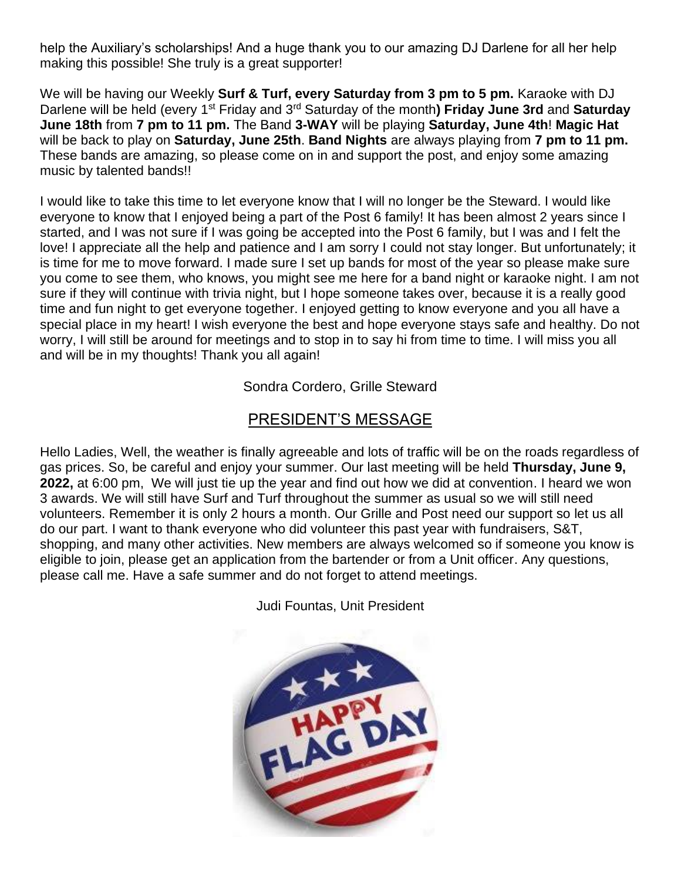help the Auxiliary's scholarships! And a huge thank you to our amazing DJ Darlene for all her help making this possible! She truly is a great supporter!

We will be having our Weekly **Surf & Turf, every Saturday from 3 pm to 5 pm.** Karaoke with DJ Darlene will be held (every 1st Friday and 3rd Saturday of the month**) Friday June 3rd** and **Saturday June 18th** from **7 pm to 11 pm.** The Band **3-WAY** will be playing **Saturday, June 4th**! **Magic Hat**  will be back to play on **Saturday, June 25th**. **Band Nights** are always playing from **7 pm to 11 pm.**  These bands are amazing, so please come on in and support the post, and enjoy some amazing music by talented bands!!

I would like to take this time to let everyone know that I will no longer be the Steward. I would like everyone to know that I enjoyed being a part of the Post 6 family! It has been almost 2 years since I started, and I was not sure if I was going be accepted into the Post 6 family, but I was and I felt the love! I appreciate all the help and patience and I am sorry I could not stay longer. But unfortunately; it is time for me to move forward. I made sure I set up bands for most of the year so please make sure you come to see them, who knows, you might see me here for a band night or karaoke night. I am not sure if they will continue with trivia night, but I hope someone takes over, because it is a really good time and fun night to get everyone together. I enjoyed getting to know everyone and you all have a special place in my heart! I wish everyone the best and hope everyone stays safe and healthy. Do not worry, I will still be around for meetings and to stop in to say hi from time to time. I will miss you all and will be in my thoughts! Thank you all again!

Sondra Cordero, Grille Steward

### PRESIDENT'S MESSAGE

Hello Ladies, Well, the weather is finally agreeable and lots of traffic will be on the roads regardless of gas prices. So, be careful and enjoy your summer. Our last meeting will be held **Thursday, June 9, 2022,** at 6:00 pm, We will just tie up the year and find out how we did at convention. I heard we won 3 awards. We will still have Surf and Turf throughout the summer as usual so we will still need volunteers. Remember it is only 2 hours a month. Our Grille and Post need our support so let us all do our part. I want to thank everyone who did volunteer this past year with fundraisers, S&T, shopping, and many other activities. New members are always welcomed so if someone you know is eligible to join, please get an application from the bartender or from a Unit officer. Any questions, please call me. Have a safe summer and do not forget to attend meetings.

Judi Fountas, Unit President